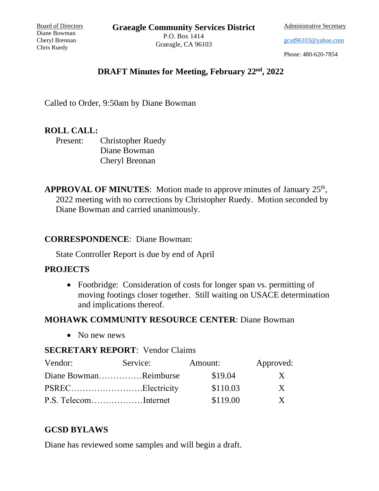**Graeagle Community Services District**

Board of Directors Diane Bowman Cheryl Brennan Chris Ruedy

P.O. Box 1414 Graeagle, CA 96103 Administrative Secretary

[gcsd96103@yahoo.com](mailto:gcsd96103@yahoo.com)

Phone: 480-620-7854

## **DRAFT Minutes for Meeting, February 22nd, 2022**

Called to Order, 9:50am by Diane Bowman

### **ROLL CALL:**

Present: Christopher Ruedy Diane Bowman Cheryl Brennan

APPROVAL OF MINUTES: Motion made to approve minutes of January 25<sup>th</sup>, 2022 meeting with no corrections by Christopher Ruedy. Motion seconded by Diane Bowman and carried unanimously.

#### **CORRESPONDENCE**: Diane Bowman:

State Controller Report is due by end of April

### **PROJECTS**

• Footbridge: Consideration of costs for longer span vs. permitting of moving footings closer together. Still waiting on USACE determination and implications thereof.

# **MOHAWK COMMUNITY RESOURCE CENTER**: Diane Bowman

• No new news

### **SECRETARY REPORT**: Vendor Claims

| Vendor:               | Service: | Amount:  | Approved:    |
|-----------------------|----------|----------|--------------|
| Diane BowmanReimburse |          | \$19.04  | $\mathbf{X}$ |
| PSRECElectricity      |          | \$110.03 | $\mathbf{X}$ |
| P.S. TelecomInternet  |          | \$119.00 | $\mathbf{X}$ |

# **GCSD BYLAWS**

Diane has reviewed some samples and will begin a draft.